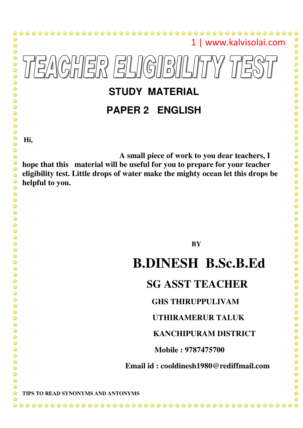

# **STUDY MATERIAL**

## **PAPER 2 ENGLISH**

**Hi,** 

琴琴琴

55年1  $\frac{1}{2}$  $\frac{1}{2}$  $\frac{1}{2}$  $\frac{1}{2}$  $\frac{1}{2}$  $\frac{1}{2}$  $\frac{1}{2}$  $\frac{1}{2}$  $\frac{1}{2}$ 

毕毕毕

☆  $\mathbf{r}$  $\frac{\lambda}{\lambda}$ 555  $\frac{\lambda}{\lambda}$ ☆ ☆

琴琴琴

 $\frac{\lambda}{\lambda}$ 

\*\*\*\*\*\*

 $\frac{1}{2}$ ☆

22222

 $\frac{\lambda}{\lambda}$  $\frac{1}{\sqrt{2}}$  $\frac{1}{2}$ ☆ ☆

 **A small piece of work to you dear teachers, I hope that this material will be useful for you to prepare for your teacher eligibility test. Little drops of water make the mighty ocean let this drops be helpful to you.** 

 **BY**

## **B.DINESH B.Sc.B.Ed**

### **SG ASST TEACHER**

#### **GHS THIRUPPULIVAM**

#### **UTHIRAMERUR TALUK**

#### **KANCHIPURAM DISTRICT**

 **Mobile : 9787475700** 

#### **Email id : cooldinesh1980@rediffmail.com**

**TIPS TO READ SYNONYMS AND ANTONYMS**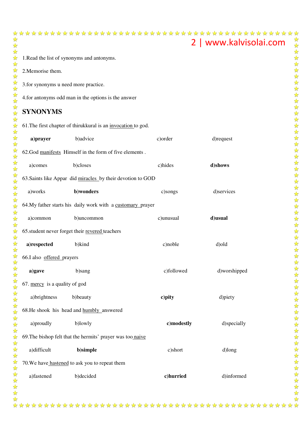## 2 | www.kalvisolai.com 1.Read the list of synonyms and antonyms. 2.Memorise them. 3.for synonyms u need more practice. 4.for antonyms odd man in the options is the answer **SYNONYMS**  61. The first chapter of thirukkural is an *invocation* to god. **a)prayer** b)advice c)order d)request 62.God manifests Himself in the form of five elements. a)comes b)closes c)hides **d)shows** 63. Saints like Appar did miracles by their devotion to GOD a)works **b)wonders** c)songs d)services 64.My father starts his daily work with a customary prayer a)common b)uncommon c)unusual **d)usual** 65. student never forget their revered teachers **a)respected** b)kind c)noble d)old 66.I also offered prayers **a)gave** b)sang c)followed d)worshipped 67. mercy is a quality of god a)brightness b)beauty **c**) **pity** d) piety

68.He shook his head and **humbly** answered

a)proudly b)lowly **c)** c) **c** c) **c** d)specially 69. The bishop felt that the hermits' prayer was too naive a)difficult **b)simple** c)short d)long 70. We have hastened to ask you to repeat them

a)fastened b)decided **c)hurried** d)informed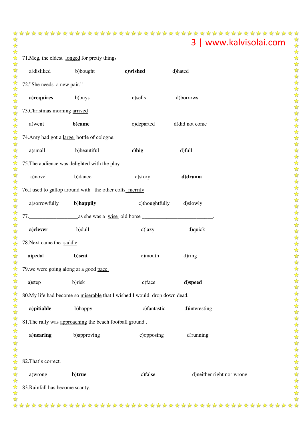| 71. Meg, the eldest longed for pretty things |                                                                          |                         |                |                            |  |  |  |  |
|----------------------------------------------|--------------------------------------------------------------------------|-------------------------|----------------|----------------------------|--|--|--|--|
|                                              | a)disliked<br>b)bought                                                   | c)wished                | d)hated        |                            |  |  |  |  |
|                                              | 72."She needs a new pair."                                               |                         |                |                            |  |  |  |  |
|                                              | a) requires<br>b)buys                                                    | c)sells                 | d)borrows      |                            |  |  |  |  |
|                                              | 73. Christmas morning arrived                                            |                         |                |                            |  |  |  |  |
| a) went                                      | b)came                                                                   | c)departed              | d)did not come |                            |  |  |  |  |
|                                              | 74. Amy had got a large bottle of cologne.                               |                         |                |                            |  |  |  |  |
| a)small                                      | b)beautiful                                                              | c) big                  | d)full         |                            |  |  |  |  |
|                                              | 75. The audience was delighted with the play                             |                         |                |                            |  |  |  |  |
|                                              | a) novel<br>b)dance                                                      | c)story                 | d)drama        |                            |  |  |  |  |
|                                              | 76.I used to gallop around with the other colts merrily                  |                         |                |                            |  |  |  |  |
|                                              | a)sorrowfully b)happily                                                  | c)thoughtfully d)slowly |                |                            |  |  |  |  |
|                                              |                                                                          |                         |                |                            |  |  |  |  |
| a)clever                                     | b)dull                                                                   | c)lazy                  | d)quick        |                            |  |  |  |  |
|                                              | 78. Next came the saddle                                                 |                         |                |                            |  |  |  |  |
| a) pedal                                     | b)seat                                                                   | c) mouth                | d)ring         |                            |  |  |  |  |
|                                              | 79. we were going along at a good pace.                                  |                         |                |                            |  |  |  |  |
| a)step                                       | b)risk                                                                   | c)face                  | d)speed        |                            |  |  |  |  |
|                                              | 80.My life had become so miserable that I wished I would drop down dead. |                         |                |                            |  |  |  |  |
| a) pitiable                                  | b)happy                                                                  | c)fantastic             | d)interesting  |                            |  |  |  |  |
|                                              | 81. The rally was approaching the beach football ground.                 |                         |                |                            |  |  |  |  |
| a)nearing                                    | b)approving                                                              | c)opposing              | d)running      |                            |  |  |  |  |
|                                              |                                                                          |                         |                |                            |  |  |  |  |
| 82. That's correct.                          |                                                                          |                         |                |                            |  |  |  |  |
| a)wrong                                      | b)true                                                                   | c)false                 |                | d) neither right nor wrong |  |  |  |  |
|                                              |                                                                          |                         |                |                            |  |  |  |  |

83.Rainfall has become scanty.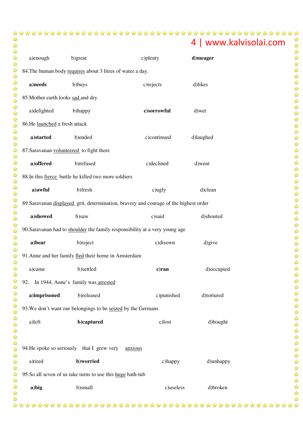## 

|                                     |                                                              |                                                                                       | 4   www.kalvisolai.com |  |
|-------------------------------------|--------------------------------------------------------------|---------------------------------------------------------------------------------------|------------------------|--|
| a)enough                            | b)great                                                      | c)plenty                                                                              | d)meager               |  |
|                                     | 84. The human body requires about 3 litres of water a day.   |                                                                                       |                        |  |
| a)needs                             | b)buys                                                       | c) rejects                                                                            | d)likes                |  |
| 85. Mother earth looks sad and dry. |                                                              |                                                                                       |                        |  |
| a)delighted                         | b)happy                                                      | c)sorrowful                                                                           | d) wet                 |  |
| 86.He launched a fresh attack       |                                                              |                                                                                       |                        |  |
| a)started                           | b)ended                                                      | c)continued                                                                           | d)laughed              |  |
|                                     | 87. Saravanan volunteered to fight there                     |                                                                                       |                        |  |
| a) offered                          | b)refused                                                    | c)declined                                                                            | d)went                 |  |
|                                     | 88.In this fierce battle he killed two more soldiers         |                                                                                       |                        |  |
| a) awful                            | b)fresh                                                      | c)ugly                                                                                | d)clean                |  |
|                                     |                                                              | 89. Saravanan displayed grit, determination, bravery and courage of the highest order |                        |  |
| a)showed                            | b)saw                                                        | c)said                                                                                | d)shouted              |  |
|                                     |                                                              | 90. Saravanan had to shoulder the family responsibility at a very young age           |                        |  |
| a)bear                              | b)reject                                                     | c)disown                                                                              | d)give                 |  |
|                                     | 91. Anne and her family fled their home in Amsterdam         |                                                                                       |                        |  |
| a)came                              | b)settled                                                    | c)ran                                                                                 | d)occupied             |  |
| 92.                                 | In 1944, Anne's family was arrested                          |                                                                                       |                        |  |
| a)imprisoned                        | b)released                                                   | c)punished                                                                            | d)tortured             |  |
|                                     | 93. We don't want our belongings to be seized by the Germans |                                                                                       |                        |  |
| a)left                              | b)captured                                                   |                                                                                       |                        |  |
|                                     |                                                              | c)lost                                                                                | d)bought               |  |
|                                     |                                                              |                                                                                       |                        |  |
|                                     | 94. He spoke so seriously that I grew very                   | anxious                                                                               |                        |  |
| a)tired                             | b)worried                                                    | c)happy                                                                               | d)unhappy              |  |
|                                     | 95.So all seven of us take turns to use this huge bath-tub   |                                                                                       |                        |  |
| a) big                              | b)small                                                      | c)useless                                                                             | d)broken               |  |
|                                     |                                                              |                                                                                       |                        |  |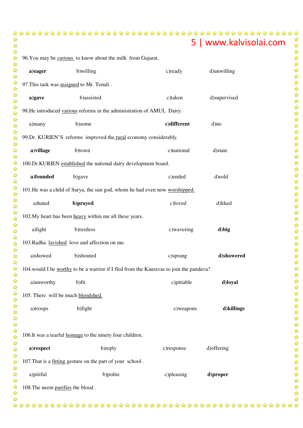| 96. You may be curious to know about the milk from Gujarat.            |                                                                  |                                                                                         |              |  |  |  |
|------------------------------------------------------------------------|------------------------------------------------------------------|-----------------------------------------------------------------------------------------|--------------|--|--|--|
| a)eager                                                                | b)willing                                                        | c) ready                                                                                | d)unwilling  |  |  |  |
|                                                                        | 97. This task was assigned to Mr. Tenali.                        |                                                                                         |              |  |  |  |
| a)gave                                                                 | b)assisted                                                       | c)taken                                                                                 | d)supervised |  |  |  |
| 98. He introduced various reforms in the administration of AMUL Dairy. |                                                                  |                                                                                         |              |  |  |  |
| a)many                                                                 | b)some                                                           | c)different                                                                             | d)no         |  |  |  |
|                                                                        | 99.Dr. KURIEN'S reforms improved the rural economy considerably. |                                                                                         |              |  |  |  |
| a) village                                                             | b)town                                                           | c)national                                                                              | d)state      |  |  |  |
|                                                                        | 100.Dr.KURIEN established the national dairy development board.  |                                                                                         |              |  |  |  |
| a)founded                                                              | b)gave                                                           | c)ended                                                                                 | d)sold       |  |  |  |
|                                                                        |                                                                  | 101. He was a child of Surya, the sun god, whom he had even now worshipped.             |              |  |  |  |
| a)hated                                                                | b)prayed                                                         | c)loved                                                                                 | d)liked      |  |  |  |
|                                                                        | 102. My heart has been heavy within me all these years.          |                                                                                         |              |  |  |  |
| a)light                                                                | b)restless                                                       | c) wavering                                                                             | d) big       |  |  |  |
|                                                                        | 103. Radha lavished love and affection on me.                    |                                                                                         |              |  |  |  |
| a)showed                                                               | b)shouted                                                        | c)sprang                                                                                | d)showered   |  |  |  |
|                                                                        |                                                                  | 104. would I be worthy to be a warrior if I fled from the Kauravas to join the pandava? |              |  |  |  |
| a)unworthy                                                             | b)fit                                                            | c) pitiable                                                                             | d)loyal      |  |  |  |
| 105. There will be much bloodshed.                                     |                                                                  |                                                                                         |              |  |  |  |
| a)troops                                                               | b)fight                                                          | c) weapons                                                                              | d)killings   |  |  |  |
|                                                                        |                                                                  |                                                                                         |              |  |  |  |
|                                                                        | 106. It was a tearful homage to the ninety four children.        |                                                                                         |              |  |  |  |
| a)respect                                                              | b)reply                                                          | c)response                                                                              | d) offering  |  |  |  |
|                                                                        | 107. That is a fitting gesture on the part of your school.       |                                                                                         |              |  |  |  |
| a)pitiful                                                              | b)polite                                                         | c) pleasing                                                                             | d)proper     |  |  |  |
| 108. The neem purifies the blood.                                      |                                                                  |                                                                                         |              |  |  |  |
|                                                                        |                                                                  |                                                                                         |              |  |  |  |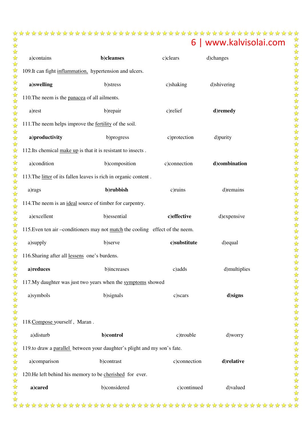| a)contains                                                               | b)cleanses                                                                    | c)clears     | d)changes     |  |  |
|--------------------------------------------------------------------------|-------------------------------------------------------------------------------|--------------|---------------|--|--|
| 109. It can fight inflammation, hypertension and ulcers.                 |                                                                               |              |               |  |  |
| a)swelling                                                               | b)stress                                                                      | c)shaking    | d)shivering   |  |  |
| 110. The neem is the panacea of all ailments.                            |                                                                               |              |               |  |  |
| a)rest                                                                   | b)repair                                                                      | c)relief     | d)remedy      |  |  |
|                                                                          | 111. The neem helps improve the fertility of the soil.                        |              |               |  |  |
| a)productivity                                                           | b)progress                                                                    | c)protection | d)purity      |  |  |
|                                                                          | 112. Its chemical make up is that it is resistant to insects.                 |              |               |  |  |
| a)condition                                                              | b)composition                                                                 | c)connection | d)combination |  |  |
|                                                                          | 113. The litter of its fallen leaves is rich in organic content.              |              |               |  |  |
| a)rags                                                                   | b)rubbish                                                                     | c)ruins      | d)remains     |  |  |
|                                                                          | 114. The neem is an ideal source of timber for carpentry.                     |              |               |  |  |
| a)excellent                                                              | b)essential                                                                   | c)effective  | d)expensive   |  |  |
|                                                                          | 115. Even ten air -conditioners may not match the cooling effect of the neem. |              |               |  |  |
| a)supply                                                                 | b)serve                                                                       | c)substitute | d) equal      |  |  |
| 116. Sharing after all lessens one's burdens.                            |                                                                               |              |               |  |  |
| a)reduces                                                                | b)increases                                                                   | c)adds       | d)multiplies  |  |  |
|                                                                          | 117. My daughter was just two years when the symptoms showed                  |              |               |  |  |
| a)symbols                                                                | b) signals                                                                    | c)scars      | d)signs       |  |  |
|                                                                          |                                                                               |              |               |  |  |
| 118. Compose yourself, Maran.                                            |                                                                               |              |               |  |  |
| a)disturb                                                                | b)control                                                                     | c)trouble    | d)worry       |  |  |
| 119.to draw a parallel between your daughter's plight and my son's fate. |                                                                               |              |               |  |  |
| a)comparison                                                             | b)contrast                                                                    | c)connection | d)relative    |  |  |
| 120. He left behind his memory to be cherished for ever.                 |                                                                               |              |               |  |  |
| a)cared                                                                  | b)considered                                                                  | c)continued  | d)valued      |  |  |
|                                                                          |                                                                               |              |               |  |  |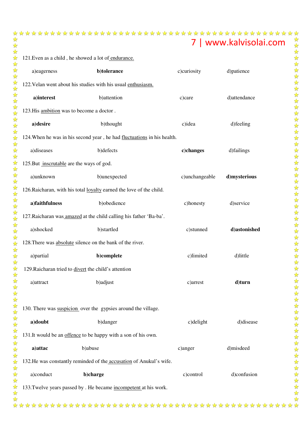121. Even as a child, he showed a lot of endurance.

| a)eagerness                                      | b)tolerance                                                             | c)curiosity    | d)patience   |
|--------------------------------------------------|-------------------------------------------------------------------------|----------------|--------------|
|                                                  | 122. Velan went about his studies with his usual enthusiasm.            |                |              |
| a)interest                                       | b) attention                                                            | c)care         | d)attendance |
| 123. His ambition was to become a doctor.        |                                                                         |                |              |
| a)desire                                         | b)thought                                                               | c)idea         | d) feeling   |
|                                                  | 124. When he was in his second year, he had fluctuations in his health. |                |              |
| a)diseases                                       | b)defects                                                               | c)changes      | d)failings   |
| 125. But <i>inscrutable</i> are the ways of god. |                                                                         |                |              |
| a)unknown                                        | b)unexpected                                                            | c)unchangeable | d)mysterious |
|                                                  | 126. Raicharan, with his total loyalty earned the love of the child.    |                |              |
| a)faithfulness                                   | b)obedience                                                             | c)honesty      | d)service    |
|                                                  | 127. Raicharan was amazed at the child calling his father 'Ba-ba'.      |                |              |
| a)shocked                                        | b)startled                                                              | c)stunned      | d)astonished |
|                                                  | 128. There was absolute silence on the bank of the river.               |                |              |
| a)partial                                        | b)complete                                                              | c)limited      | d)little     |
|                                                  | 129. Raicharan tried to divert the child's attention                    |                |              |
| a) attract                                       | b)adjust                                                                | c)arrest       | d)turn       |
|                                                  |                                                                         |                |              |
|                                                  | 130. There was suspicion over the gypsies around the village.           |                |              |
| a)doubt                                          | b)danger                                                                | c)delight      | d)disease    |
|                                                  | 131. It would be an offence to be happy with a son of his own.          |                |              |
| a) attac                                         | b)abuse                                                                 | c)anger        | d)misdeed    |
|                                                  | 132. He was constantly reminded of the accusation of Anukul's wife.     |                |              |
| a)conduct                                        | b)charge                                                                | c)control      | d)confusion  |
|                                                  | 133. Twelve years passed by . He became incompetent at his work.        |                |              |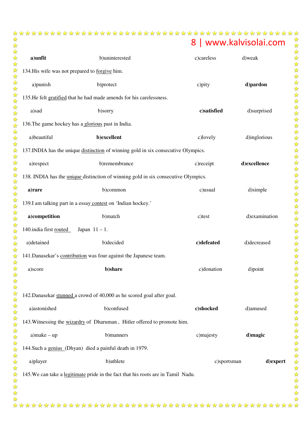| a)unfit                                        | b)uninterested                                                                            | c)careless  | d)weak         |
|------------------------------------------------|-------------------------------------------------------------------------------------------|-------------|----------------|
| 134. His wife was not prepared to forgive him. |                                                                                           |             |                |
| a)punish                                       | b)protect                                                                                 | c)pity      | d)pardon       |
|                                                | 135. He felt gratified that he had made amends for his carelessness.                      |             |                |
| a)sad                                          | b)sorry                                                                                   | c)satisfied | d)surprised    |
|                                                | 136. The game hockey has a glorious past in India.                                        |             |                |
| a)beautiful                                    | b)excellent                                                                               | c)lovely    | d)inglorious   |
|                                                | 137. INDIA has the unique distinction of winning gold in six consecutive Olympics.        |             |                |
| a)respect                                      | b)remembrance                                                                             | c) receipt  | d)excellence   |
|                                                | 138. INDIA has the <i>unique</i> distinction of winning gold in six consecutive Olympics. |             |                |
| a)rare                                         | b)common                                                                                  | c)usual     | d)simple       |
|                                                | 139.I am talking part in a essay contest on 'Indian hockey.'                              |             |                |
| a)competition                                  | b)match                                                                                   | c)test      | d) examination |
| 140. india first routed                        | Japan $11 - 1$ .                                                                          |             |                |
| a)detained                                     | b)decided                                                                                 | c)defeated  | d)decreased    |
|                                                | 141. Danasekar's contribution was four against the Japanese team.                         |             |                |
| a)score                                        | b)share                                                                                   | c)donation  | d)point        |
| a)astonished                                   | 142. Danasekar stunned a crowd of 40,000 as he scored goal after goal.<br>b)confused      | c)shocked   | d)amused       |
|                                                | 143. Witnessing the wizardry of Dharuman, Hitler offered to promote him.                  |             |                |
| $a)$ make – up                                 | b)manners                                                                                 | c)majesty   | d)magic        |
|                                                | 144. Such a genius (Dhyan) died a painful death in 1979.                                  |             |                |
| a)player                                       | b)athlete                                                                                 | c)sportsman | d)expert       |
|                                                | 145. We can take a legitimate pride in the fact that his roots are in Tamil Nadu.         |             |                |
|                                                |                                                                                           |             |                |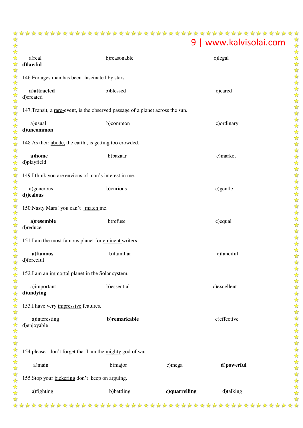| a)real<br>d)lawful                                                              | b)reasonable                                    |               | c)legal     |  |  |
|---------------------------------------------------------------------------------|-------------------------------------------------|---------------|-------------|--|--|
| 146. For ages man has been fascinated by stars.                                 |                                                 |               |             |  |  |
| a)attracted<br>d)created                                                        | b)blessed                                       |               | c)cared     |  |  |
| 147. Transit, a rare-event, is the observed passage of a planet across the sun. |                                                 |               |             |  |  |
| a)usual<br>d)uncommon                                                           | b)common                                        |               | c) ordinary |  |  |
| 148.As their abode, the earth, is getting too crowded.                          |                                                 |               |             |  |  |
| a)home<br>d)playfield                                                           | b)bazaar                                        |               | c)market    |  |  |
| 149.I think you are envious of man's interest in me.                            |                                                 |               |             |  |  |
| a)generous<br>d)jealous                                                         | b)curious                                       |               | c)gentle    |  |  |
| 150. Nasty Mars! you can't match me.                                            |                                                 |               |             |  |  |
| a)resemble<br>d)reduce                                                          | b)refuse                                        |               | c) equal    |  |  |
| 151.I am the most famous planet for eminent writers.                            |                                                 |               |             |  |  |
| a)famous<br>d)forceful                                                          | b)familiar                                      |               | c)fanciful  |  |  |
| 152.I am an <i>immortal</i> planet in the Solar system.                         |                                                 |               |             |  |  |
| a)important<br>d)undying                                                        | b)essential                                     |               | c)excellent |  |  |
| 153.I have very impressive features.                                            |                                                 |               |             |  |  |
| a)interesting<br>d)enjoyable                                                    | b)remarkable                                    |               | c)effective |  |  |
| 154. please don't forget that I am the mighty god of war.                       |                                                 |               |             |  |  |
| a)main                                                                          | b)major                                         | c)mega        | d)powerful  |  |  |
|                                                                                 | 155. Stop your bickering don't keep on arguing. |               |             |  |  |
| a)fighting                                                                      | b)battling                                      | c)quarrelling | d)talking   |  |  |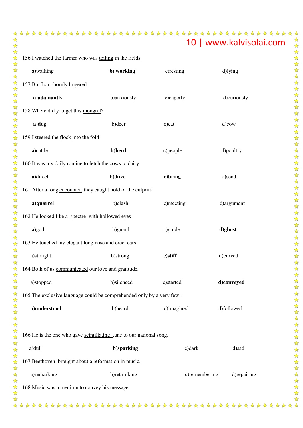| 156.I watched the farmer who was toiling in the fields                |              |               |             |  |  |
|-----------------------------------------------------------------------|--------------|---------------|-------------|--|--|
| a)walking                                                             | b) working   | c) resting    | d)lying     |  |  |
| 157. But I stubbornly lingered                                        |              |               |             |  |  |
| a)adamantly                                                           | b)anxiously  | c)eagerly     | d)curiously |  |  |
| 158. Where did you get this mongrel?                                  |              |               |             |  |  |
| a)dog                                                                 | b)deer       | c)cat         | d)cow       |  |  |
| 159.I steered the flock into the fold                                 |              |               |             |  |  |
| a)cattle                                                              | b)herd       | c) people     | d)poultry   |  |  |
| 160. It was my daily routine to fetch the cows to dairy               |              |               |             |  |  |
| a)direct                                                              | b) drive     | c)bring       | d)send      |  |  |
| 161. After a long encounter, they caught hold of the culprits         |              |               |             |  |  |
| a)quarrel                                                             | b)clash      | c)meeting     | d)argument  |  |  |
| 162. He looked like a spectre with hollowed eyes                      |              |               |             |  |  |
| a)god                                                                 | b)guard      | c)guide       | d)ghost     |  |  |
| 163. He touched my elegant long nose and erect ears                   |              |               |             |  |  |
| a)straight                                                            | b)strong     | c)stiff       | d)curved    |  |  |
| 164. Both of us communicated our love and gratitude.                  |              |               |             |  |  |
| a)stopped                                                             | b)silenced   | c)started     | d)conveyed  |  |  |
| 165. The exclusive language could be comprehended only by a very few. |              |               |             |  |  |
| a)understood                                                          | b)heard      | c)imagined    | d)followed  |  |  |
|                                                                       |              |               |             |  |  |
| 166. He is the one who gave scintillating tune to our national song.  |              |               |             |  |  |
| a)dull                                                                | b)sparking   | $c)$ dark     | d)sad       |  |  |
| 167. Beethoven brought about a reformation in music.                  |              |               |             |  |  |
| a)remarking                                                           | b)rethinking | c)remembering | d)repairing |  |  |
| 168. Music was a medium to convey his message.                        |              |               |             |  |  |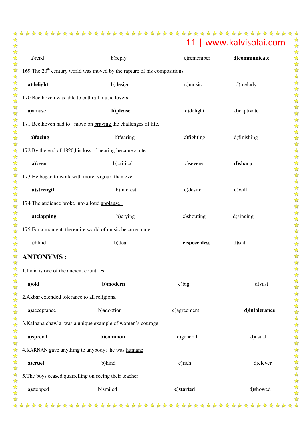| a)read                                         | b)reply                                                                     | c)remember   | d)communicate |
|------------------------------------------------|-----------------------------------------------------------------------------|--------------|---------------|
|                                                | 169. The $20th$ century world was moved by the rapture of his compositions. |              |               |
| a)delight                                      | b) design                                                                   | c) music     | d)melody      |
|                                                | 170. Beethoven was able to enthrall music lovers.                           |              |               |
| a)amuse                                        | b)please                                                                    | c)delight    | d)captivate   |
|                                                | 171. Beethoven had to move on braving the challenges of life.               |              |               |
| a)facing                                       | b)fearing                                                                   | c) fighting  | d)finishing   |
|                                                | 172.By the end of 1820, his loss of hearing became acute.                   |              |               |
| a)keen                                         | b)critical                                                                  | c)severe     | d)sharp       |
|                                                | 173. He began to work with more vigour than ever.                           |              |               |
| a)strength                                     | b)interest                                                                  | c) desire    | d)will        |
| 174. The audience broke into a loud applause.  |                                                                             |              |               |
| a)clapping                                     | b)crying                                                                    | c)shouting   | d)singing     |
|                                                | 175. For a moment, the entire world of music became mute.                   |              |               |
| a)blind                                        | b) deaf                                                                     | c)speechless | d)sad         |
| <b>ANTONYMS:</b>                               |                                                                             |              |               |
| 1.India is one of the <i>ancient</i> countries |                                                                             |              |               |
| a)old                                          | b)modern                                                                    | $c)$ big     | d) vast       |
| 2. Akbar extended tolerance to all religions.  |                                                                             |              |               |
| a)acceptance                                   | b)adoption                                                                  | c)agreement  | d)intolerance |
|                                                | 3.Kalpana chawla was a <i>unique</i> example of women's courage             |              |               |
| a)special                                      | b)common                                                                    | c)general    | d)usual       |
|                                                | 4.KARNAN gave anything to anybody; he was humane                            |              |               |
| a)cruel                                        | b)kind                                                                      | c)rich       | d)clever      |
|                                                | 5. The boys ceased quarrelling on seeing their teacher                      |              |               |
| a)stopped                                      | b)smiled                                                                    | c)started    | d)showed      |
|                                                |                                                                             |              |               |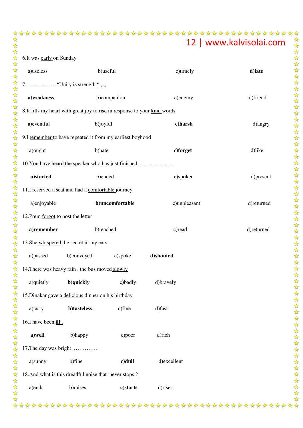| 6.It was early on Sunday           |                                                                            |                 |              |            |
|------------------------------------|----------------------------------------------------------------------------|-----------------|--------------|------------|
| a)useless                          |                                                                            | b)useful        | c)timely     | d)late     |
|                                    | 7.----------------- "Unity is strength ",,,,,                              |                 |              |            |
| a)weakness                         |                                                                            | b)companion     | c)enemy      | d)friend   |
|                                    | 8. It fills my heart with great joy to rise in response to your kind words |                 |              |            |
| a)eventful                         | b)joyful                                                                   |                 | c)harsh      | d)angry    |
|                                    | 9.I remember to have repeated it from my earliest boyhood                  |                 |              |            |
| a) ought                           | b)hate                                                                     |                 | c)forget     | d)like     |
|                                    | 10. You have heard the speaker who has just finished                       |                 |              |            |
| a)started                          | b)ended                                                                    |                 | c)spoken     | d)present  |
|                                    | 11.I reserved a seat and had a comfortable journey                         |                 |              |            |
| a)enjoyable                        |                                                                            | b)uncomfortable | c)unpleasant | d)returned |
| 12. Prem forgot to post the letter |                                                                            |                 |              |            |
| a)remember                         | b)reached                                                                  |                 | c) read      | d)returned |
|                                    | 13. She whispered the secret in my ears                                    |                 |              |            |
| a)passed                           | b)conveyed                                                                 | c)spoke         | d)shouted    |            |
|                                    | 14. There was heavy rain . the bus moved slowly                            |                 |              |            |
| a)quietly                          | b)quickly                                                                  | c)badly         | d)bravely    |            |
|                                    | 15. Dinakar gave a delicious dinner on his birthday                        |                 |              |            |
| a)tasty                            | b)tasteless                                                                | c)fine          | d)fast       |            |
| 16.I have been ill.                |                                                                            |                 |              |            |
| a)well                             | b)happy                                                                    | c)poor          | d)rich       |            |
| 17. The day was bright             |                                                                            |                 |              |            |
| a)sunny                            | b)fine                                                                     | c)dull          | d)excellent  |            |
|                                    | 18. And what is this dreadful noise that never stops?                      |                 |              |            |
| a)ends                             | b)raises                                                                   | c)starts        | d)rises      |            |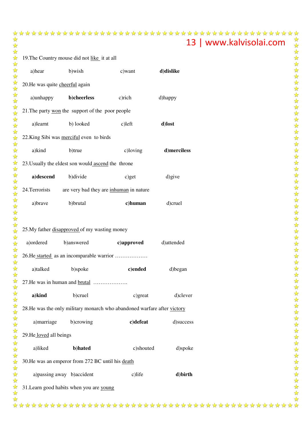|        | 19. The Country mouse did not like it at all |                                                                          |            |             |  |  |  |
|--------|----------------------------------------------|--------------------------------------------------------------------------|------------|-------------|--|--|--|
|        | a)hear                                       | b)wish                                                                   | c) want    | d)dislike   |  |  |  |
|        | 20. He was quite cheerful again              |                                                                          |            |             |  |  |  |
|        | a)unhappy                                    | b)cheerless                                                              | c)rich     | d)happy     |  |  |  |
|        |                                              | 21. The party won the support of the poor people                         |            |             |  |  |  |
|        | a)learnt                                     | b) looked                                                                | $c)$ left  | d)lost      |  |  |  |
|        |                                              | 22. King Sibi was merciful even to birds                                 |            |             |  |  |  |
|        | a)kind                                       | b)true                                                                   | c)loving   | d)merciless |  |  |  |
|        |                                              | 23. Usually the eldest son would ascend the throne                       |            |             |  |  |  |
|        | a)descend                                    | b)divide                                                                 | c)get      | d) give     |  |  |  |
|        | 24. Terrorists                               | are very bad they are inhuman in nature                                  |            |             |  |  |  |
|        | a)brave                                      | b)brutal                                                                 | c)human    | d)cruel     |  |  |  |
|        |                                              |                                                                          |            |             |  |  |  |
|        |                                              | 25. My father disapproved of my wasting money                            |            |             |  |  |  |
|        | a) ordered                                   | b)answered                                                               | c)approved | d)attended  |  |  |  |
|        |                                              | 26. He started as an incomparable warrior                                |            |             |  |  |  |
|        | a)talked                                     | b)spoke                                                                  | c)ended    | d)began     |  |  |  |
|        | 27. He was in human and brutal               |                                                                          |            |             |  |  |  |
|        | a)kind                                       | b)cruel                                                                  | $c)$ great | d)clever    |  |  |  |
| 以人以公公人 |                                              | 28. He was the only military monarch who abandoned warfare after victory |            |             |  |  |  |
|        | a) marriage                                  | b)crowing                                                                | c)defeat   | d)success   |  |  |  |
|        | 29. He loved all beings                      |                                                                          |            |             |  |  |  |
|        | a)liked                                      | b)hated                                                                  | c)shouted  | d)spoke     |  |  |  |
|        |                                              | 30. He was an emperor from 272 BC until his death                        |            |             |  |  |  |
|        | a) passing away b) accident                  |                                                                          | c)life     | d)birth     |  |  |  |
|        |                                              | 31. Learn good habits when you are young                                 |            |             |  |  |  |
|        |                                              |                                                                          |            |             |  |  |  |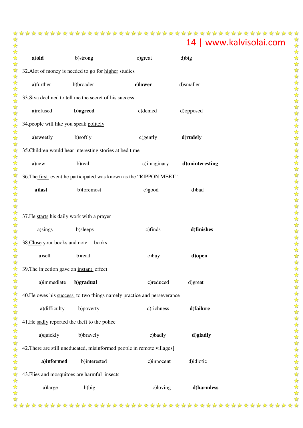| a)old                                                  | b)strong                                                               | c)great     | d)big           |  |  |  |  |
|--------------------------------------------------------|------------------------------------------------------------------------|-------------|-----------------|--|--|--|--|
| 32. Alot of money is needed to go for higher studies   |                                                                        |             |                 |  |  |  |  |
| a)further                                              | b)broader                                                              | c)lower     | d)smaller       |  |  |  |  |
| 33. Siva declined to tell me the secret of his success |                                                                        |             |                 |  |  |  |  |
| a)refused                                              | b)agreed                                                               | c)denied    | d)opposed       |  |  |  |  |
| 34. people will like you speak politely                |                                                                        |             |                 |  |  |  |  |
| a)sweetly                                              | b)softly                                                               | c)gently    | d)rudely        |  |  |  |  |
|                                                        | 35. Children would hear interesting stories at bed time                |             |                 |  |  |  |  |
| a)new                                                  | b)real                                                                 | c)imaginary | d)uninteresting |  |  |  |  |
|                                                        | 36. The first event he participated was known as the "RIPPON MEET".    |             |                 |  |  |  |  |
| a)last                                                 | b)foremost                                                             | c)good      | d)bad           |  |  |  |  |
|                                                        |                                                                        |             |                 |  |  |  |  |
| 37. He starts his daily work with a prayer             |                                                                        |             |                 |  |  |  |  |
| a)sings                                                | b)sleeps                                                               | c)finds     | d)finishes      |  |  |  |  |
| 38.Close your books and note                           | books                                                                  |             |                 |  |  |  |  |
| a)sell                                                 | b)read                                                                 | $c)$ buy    | d) open         |  |  |  |  |
| 39. The injection gave an instant effect               |                                                                        |             |                 |  |  |  |  |
| a)immediate                                            | b)gradual                                                              | c)reduced   | d)great         |  |  |  |  |
|                                                        | 40. He owes his success to two things namely practice and perseverance |             |                 |  |  |  |  |
| a)difficulty                                           | b)poverty                                                              | c)richness  | d)failure       |  |  |  |  |
| 41. He sadly reported the theft to the police          |                                                                        |             |                 |  |  |  |  |
| a)quickly                                              | b)bravely                                                              | c)badly     | d)gladly        |  |  |  |  |
|                                                        | 42. There are still uneducated, misinformed people in remote villages] |             |                 |  |  |  |  |
| a)informed                                             | b)interested                                                           | c)innocent  | d)idiotic       |  |  |  |  |
|                                                        | 43. Flies and mosquitoes are harmful insects                           |             |                 |  |  |  |  |
| a)large                                                | b)big                                                                  | c)loving    | d)harmless      |  |  |  |  |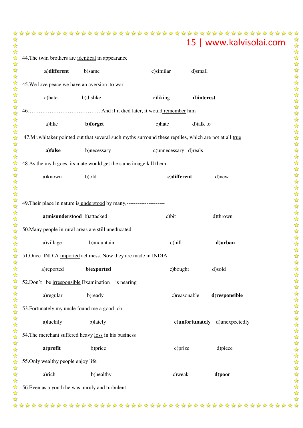| 44. The twin brothers are identical in appearance |                                    |                                                                                                        |                       |                                |  |
|---------------------------------------------------|------------------------------------|--------------------------------------------------------------------------------------------------------|-----------------------|--------------------------------|--|
|                                                   | a)different                        | b)same                                                                                                 | c)similar             | d)small                        |  |
|                                                   |                                    | 45. We love peace we have an <u>aversion</u> to war                                                    |                       |                                |  |
|                                                   | a)hate                             | b)dislike                                                                                              | c)liking              | d)interest                     |  |
|                                                   |                                    |                                                                                                        |                       |                                |  |
|                                                   | a)like                             | b)forget                                                                                               | c) hate               | d)talk to                      |  |
|                                                   |                                    | 47.Mr. whitaker pointed out that several such myths surround these reptiles, which are not at all true |                       |                                |  |
|                                                   | a)false                            | b)necessary                                                                                            | c)unnecessary d)reals |                                |  |
|                                                   |                                    | 48.As the myth goes, its mate would get the same image kill them                                       |                       |                                |  |
|                                                   | a)known                            | b)old                                                                                                  | c)different           | d)new                          |  |
|                                                   |                                    |                                                                                                        |                       |                                |  |
|                                                   |                                    | 49. Their place in nature is understood by many,---------------------                                  |                       |                                |  |
|                                                   | a)misunderstood b)attacked         |                                                                                                        | $c)$ bit              | d)thrown                       |  |
|                                                   |                                    | 50. Many people in rural areas are still uneducated                                                    |                       |                                |  |
|                                                   | a) village                         | b)mountain                                                                                             | c)hill                | d)urban                        |  |
|                                                   |                                    | 51. Once INDIA imported achiness. Now they are made in INDIA                                           |                       |                                |  |
|                                                   | a)reported                         | b)exported                                                                                             | c)bought              | d)sold                         |  |
|                                                   |                                    | 52.Don't be irresponsible Examination is nearing                                                       |                       |                                |  |
|                                                   | a) regular                         | b)ready                                                                                                | c)reasonable          | d)responsible                  |  |
|                                                   |                                    | 53. Fortunately my uncle found me a good job                                                           |                       |                                |  |
|                                                   | a)luckily                          | b)lately                                                                                               |                       | c)unfortunately d)unexpectedly |  |
|                                                   |                                    | 54. The merchant suffered heavy loss in his business                                                   |                       |                                |  |
|                                                   | a)profit                           | b)price                                                                                                | c)prize               | d)piece                        |  |
|                                                   | 55. Only wealthy people enjoy life |                                                                                                        |                       |                                |  |
|                                                   | a)rich                             | b)healthy                                                                                              | c) weak               | d)poor                         |  |
|                                                   |                                    | 56. Even as a youth he was unruly and turbulent                                                        |                       |                                |  |
|                                                   |                                    |                                                                                                        |                       |                                |  |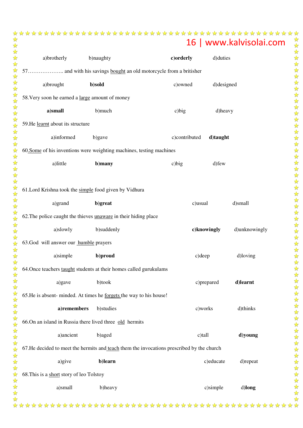| a)brotherly                                                          | b)naughty                                                                                  | c)orderly     | d) duties   |               |  |
|----------------------------------------------------------------------|--------------------------------------------------------------------------------------------|---------------|-------------|---------------|--|
|                                                                      |                                                                                            |               |             |               |  |
| a)brought                                                            | b)sold                                                                                     | c)owned       | d)designed  |               |  |
| 58. Very soon he earned a large amount of money                      |                                                                                            |               |             |               |  |
| a)small                                                              | b)much                                                                                     | $c)$ big      | d)heavy     |               |  |
| 59. He learnt about its structure                                    |                                                                                            |               |             |               |  |
| a)informed                                                           | b)gave                                                                                     | c)contributed | d)taught    |               |  |
| 60. Some of his inventions were weighting machines, testing machines |                                                                                            |               |             |               |  |
| a)little                                                             | b)many                                                                                     | $c)$ big      | d) few      |               |  |
|                                                                      |                                                                                            |               |             |               |  |
|                                                                      | 61. Lord Krishna took the simple food given by Vidhura                                     |               |             |               |  |
| a)grand                                                              | b)great                                                                                    | c)usual       |             | d)small       |  |
| 62. The police caught the thieves unaware in their hiding place      |                                                                                            |               |             |               |  |
| a)slowly                                                             | b)suddenly                                                                                 |               | c)knowingly | d)unknowingly |  |
| 63. God will answer our humble prayers                               |                                                                                            |               |             |               |  |
| a)simple                                                             | b)proud                                                                                    |               | c) deep     | d)loving      |  |
|                                                                      | 64. Once teachers taught students at their homes called gurukulams                         |               |             |               |  |
| a)gave                                                               | b)took                                                                                     |               | c)prepared  | d)learnt      |  |
|                                                                      | 65. He is absent- minded. At times he <u>forgets</u> the way to his house!                 |               |             |               |  |
| a)remembers                                                          | b)studies                                                                                  |               | c)works     | d)thinks      |  |
|                                                                      | 66.On an island in Russia there lived three old hermits                                    |               |             |               |  |
| a)ancient                                                            | b)aged                                                                                     |               | c)tall      | d)young       |  |
|                                                                      | 67. He decided to meet the hermits and teach them the invocations prescribed by the church |               |             |               |  |
| a)give                                                               | b)learn                                                                                    |               | c)educate   | d)repeat      |  |
| 68. This is a short story of leo Tolstoy                             |                                                                                            |               |             |               |  |
| a)small                                                              | b)heavy                                                                                    |               | c)simple    | d)long        |  |
|                                                                      |                                                                                            |               |             |               |  |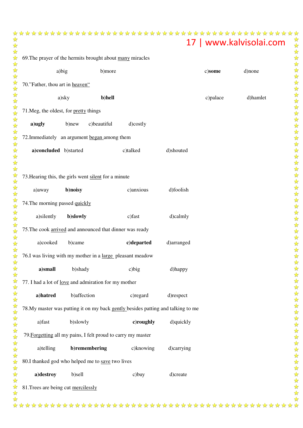| 69. The prayer of the hermits brought about many miracles |                                                              |             |                                                                                  |            |          |          |  |
|-----------------------------------------------------------|--------------------------------------------------------------|-------------|----------------------------------------------------------------------------------|------------|----------|----------|--|
|                                                           | a)big                                                        | b)more      |                                                                                  |            | c)some   | d)none   |  |
| 70."Father, thou art in heaven"                           |                                                              |             |                                                                                  |            |          |          |  |
|                                                           | a)sky                                                        | b)hell      |                                                                                  |            | c)palace | d)hamlet |  |
|                                                           | 71. Meg, the oldest, for pretty things                       |             |                                                                                  |            |          |          |  |
| a)ugly                                                    | b)new                                                        | c)beautiful | d)costly                                                                         |            |          |          |  |
|                                                           | 72. Immediately an argument began among them                 |             |                                                                                  |            |          |          |  |
|                                                           | a)concluded b)started                                        |             | c)talked                                                                         | d)shouted  |          |          |  |
|                                                           |                                                              |             |                                                                                  |            |          |          |  |
|                                                           | 73. Hearing this, the girls went silent for a minute         |             |                                                                                  |            |          |          |  |
| a) away                                                   | b)noisy                                                      |             | c)anxious                                                                        | d)foolish  |          |          |  |
| 74. The morning passed quickly                            |                                                              |             |                                                                                  |            |          |          |  |
| a)silently                                                | b)slowly                                                     |             | c) fast                                                                          | d)calmly   |          |          |  |
|                                                           | 75. The cook arrived and announced that dinner was ready     |             |                                                                                  |            |          |          |  |
| a)cooked                                                  | b)came                                                       |             | c)departed                                                                       | d)arranged |          |          |  |
|                                                           | 76.I was living with my mother in a large pleasant meadow    |             |                                                                                  |            |          |          |  |
| a)small                                                   | b)shady                                                      |             | $c)$ big                                                                         | d)happy    |          |          |  |
|                                                           | 77. I had a lot of <u>love</u> and admiration for my mother  |             |                                                                                  |            |          |          |  |
| a)hatred                                                  | b) affection                                                 |             | c) regard                                                                        | d)respect  |          |          |  |
|                                                           |                                                              |             | 78. My master was putting it on my back gently besides patting and talking to me |            |          |          |  |
| a)fast                                                    | b)slowly                                                     |             | c)roughly                                                                        | d)quickly  |          |          |  |
|                                                           | 79. Forgetting all my pains, I felt proud to carry my master |             |                                                                                  |            |          |          |  |
| a)telling                                                 | b)remembering                                                |             | c)knowing                                                                        | d)carrying |          |          |  |
|                                                           | 80.I thanked god who helped me to save two lives             |             |                                                                                  |            |          |          |  |
| a)destroy                                                 | b)sell                                                       |             | c)buy                                                                            | d)create   |          |          |  |
|                                                           | 81. Trees are being cut mercilessly                          |             |                                                                                  |            |          |          |  |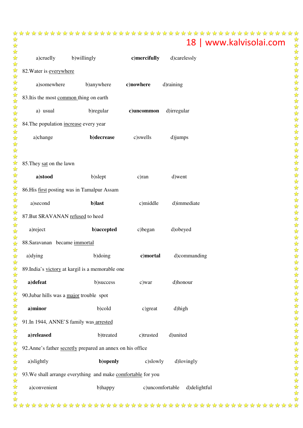|  | 18   www.kalvisolai.com ☆ |
|--|---------------------------|

| a)cruelly b)willingly                    |                                                              | c)mercifully    | d)carelessly |  |  |  |  |  |
|------------------------------------------|--------------------------------------------------------------|-----------------|--------------|--|--|--|--|--|
| 82. Water is everywhere                  |                                                              |                 |              |  |  |  |  |  |
| a)somewhere                              | b)anywhere                                                   | c)nowhere       | d)raining    |  |  |  |  |  |
| 83. Itis the most common thing on earth  |                                                              |                 |              |  |  |  |  |  |
| a) usual                                 | b) regular                                                   | c)uncommon      | d)irregular  |  |  |  |  |  |
| 84. The population increase every year   |                                                              |                 |              |  |  |  |  |  |
| a)change                                 | b)decrease                                                   | c)swells        | d)jumps      |  |  |  |  |  |
| 85. They sat on the lawn                 |                                                              |                 |              |  |  |  |  |  |
| a)stood                                  | b)slept                                                      | c)ran           | d) went      |  |  |  |  |  |
|                                          | 86. His first posting was in Tamalpur Assam                  |                 |              |  |  |  |  |  |
| a)second                                 | b)last                                                       | c)middle        | d)immediate  |  |  |  |  |  |
| 87. But SRAVANAN refused to heed         |                                                              |                 |              |  |  |  |  |  |
| a)reject                                 | b)accepted                                                   | c)began         | d)obeyed     |  |  |  |  |  |
| 88. Saravanan became immortal            |                                                              |                 |              |  |  |  |  |  |
| a) dying                                 | b)doing                                                      | c)mortal        | d)commanding |  |  |  |  |  |
|                                          | 89. India's victory at kargil is a memorable one             |                 |              |  |  |  |  |  |
| a)defeat                                 | b)success                                                    | c)war           | d)honour     |  |  |  |  |  |
| 90. Jubar hills was a major trouble spot |                                                              |                 |              |  |  |  |  |  |
| a)minor                                  | b)cold                                                       | c)great         | d)high       |  |  |  |  |  |
| 91. In 1944, ANNE'S family was arrested  |                                                              |                 |              |  |  |  |  |  |
| a)released                               | b)treated                                                    | c)trusted       | d)united     |  |  |  |  |  |
|                                          | 92. Anne's father secretly prepared an annex on his office   |                 |              |  |  |  |  |  |
| a)slightly                               | b)openly                                                     | c)slowly        | d)lovingly   |  |  |  |  |  |
|                                          | 93. We shall arrange everything and make comfortable for you |                 |              |  |  |  |  |  |
| a)convenient                             | b)happy                                                      | c)uncomfortable | d)delightful |  |  |  |  |  |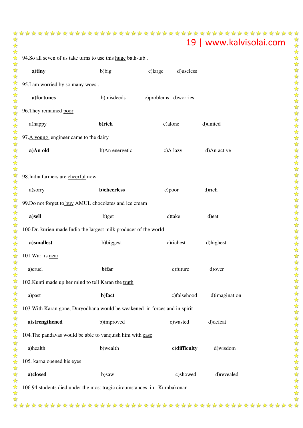| 94.So all seven of us take turns to use this huge bath-tub.                |                |         |         |                      |               |  |
|----------------------------------------------------------------------------|----------------|---------|---------|----------------------|---------------|--|
| a)tiny                                                                     | b)big          | c)large |         | d)useless            |               |  |
| 95.I am worried by so many woes.                                           |                |         |         |                      |               |  |
| a)fortunes                                                                 | b)misdeeds     |         |         | c)problems d)worries |               |  |
| 96. They remained poor                                                     |                |         |         |                      |               |  |
| a)happy                                                                    | b)rich         |         | c)alone |                      | d)united      |  |
| 97.A young engineer came to the dairy                                      |                |         |         |                      |               |  |
| a)An old                                                                   | b)An energetic |         |         | c)A lazy             | d)An active   |  |
| 98. India farmers are cheerful now                                         |                |         |         |                      |               |  |
| a)sorry                                                                    | b)cheerless    |         | c)poor  |                      | d)rich        |  |
| 99. Do not forget to buy AMUL chocolates and ice cream                     |                |         |         |                      |               |  |
| a)sell                                                                     | b)get          |         |         | c)take               | d)eat         |  |
| 100.Dr. kurien made India the largest milk producer of the world           |                |         |         |                      |               |  |
| a)smallest                                                                 | b)biggest      |         |         | c)richest            | d)highest     |  |
| 101. War is near                                                           |                |         |         |                      |               |  |
| a)cruel                                                                    | b)far          |         |         | c)future             | d) over       |  |
| 102. Kunti made up her mind to tell Karan the truth                        |                |         |         |                      |               |  |
| a)past                                                                     | b)fact         |         |         | c)falsehood          | d)imagination |  |
| 103. With Karan gone, Duryodhana would be weakened in forces and in spirit |                |         |         |                      |               |  |
| a)strengthened                                                             | b)improved     |         |         | c)wasted             | d)defeat      |  |
| 104. The pandavas would be able to vanquish him with ease                  |                |         |         |                      |               |  |
| a)health                                                                   | b)wealth       |         |         | c)difficulty         | d)wisdom      |  |
| 105. karna opened his eyes                                                 |                |         |         |                      |               |  |
| a)closed                                                                   | b)saw          |         |         | c)showed             | d)revealed    |  |
| 106.94 students died under the most tragic circumstances in Kumbakonan     |                |         |         |                      |               |  |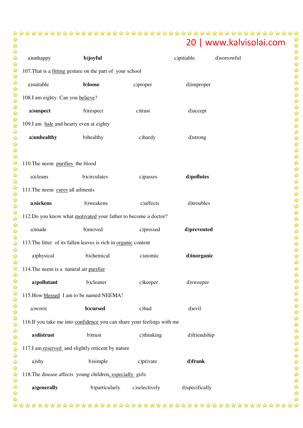| a)unhappy                                                              | b)joyful                         |               | c)pitiable     | d)sorrowful |  |  |  |
|------------------------------------------------------------------------|----------------------------------|---------------|----------------|-------------|--|--|--|
| 107. That is a fitting gesture on the part of your school              |                                  |               |                |             |  |  |  |
| a)suitable                                                             | b)loose                          | c)proper      | d)improper     |             |  |  |  |
| 108.I am eighty. Can you believe?                                      |                                  |               |                |             |  |  |  |
| a)suspect                                                              | b)respect                        | c)trust       | d) accept      |             |  |  |  |
| 109.I am hale and hearty even at eighty                                |                                  |               |                |             |  |  |  |
| a)unhealthy                                                            | b)healthy                        | c)hardy       | d)strong       |             |  |  |  |
|                                                                        |                                  |               |                |             |  |  |  |
|                                                                        | 110. The neem purifies the blood |               |                |             |  |  |  |
| a)cleans                                                               | b)circulates                     | c)passes      | d)pollutes     |             |  |  |  |
| 111. The neem cures all ailments                                       |                                  |               |                |             |  |  |  |
| a)sickens                                                              | b)weakens                        | c) affects    | d)troubles     |             |  |  |  |
| 112. Do you know what motivated your father to become a doctor?        |                                  |               |                |             |  |  |  |
| a)made                                                                 | b)moved                          | c)pressed     | d)prevented    |             |  |  |  |
| 113. The litter of its fallen leaves is rich in organic content        |                                  |               |                |             |  |  |  |
| a)physical                                                             | b)chemical                       | c) atomic     | d)inorganic    |             |  |  |  |
| 114. The neem is a natural air purifier                                |                                  |               |                |             |  |  |  |
| a)pollutant                                                            | b)cleaner                        | c)keeper      | d)sweeper      |             |  |  |  |
| 115. How blessed I am to be named NEEMA!                               |                                  |               |                |             |  |  |  |
| a)worst                                                                | b)cursed                         | c)bad         | d) evil        |             |  |  |  |
| 116.If you take me into confidence you can share your feelings with me |                                  |               |                |             |  |  |  |
| a)distrust                                                             | b)trust                          | c)thinking    | d)friendship   |             |  |  |  |
| 117.I am reserved and slightly reticent by nature                      |                                  |               |                |             |  |  |  |
| a)shy                                                                  | b)simple                         | c)private     | d)frank        |             |  |  |  |
| 118. The disease affects young children, especially girls              |                                  |               |                |             |  |  |  |
| a)generally                                                            | b)particularly                   | c)selectively | d)specifically |             |  |  |  |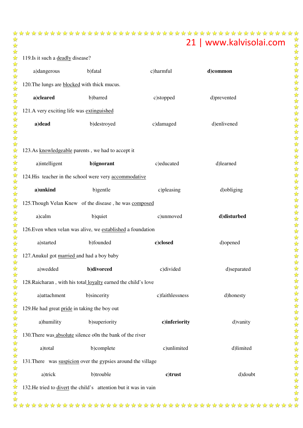119. Is it such a **deadly** disease?

| a)dangerous                                                      | b)fatal                                                        | c)harmful       | d)common    |  |  |  |
|------------------------------------------------------------------|----------------------------------------------------------------|-----------------|-------------|--|--|--|
| 120. The lungs are <b>blocked</b> with thick mucus.              |                                                                |                 |             |  |  |  |
| a)cleared                                                        | b)barred                                                       | c)stopped       | d)prevented |  |  |  |
| 121.A very exciting life was extinguished                        |                                                                |                 |             |  |  |  |
| a)dead                                                           | b)destroyed                                                    | c)damaged       | d)enlivened |  |  |  |
|                                                                  |                                                                |                 |             |  |  |  |
| 123.As knowledgeable parents, we had to accept it                |                                                                |                 |             |  |  |  |
| a)intelligent                                                    | b)ignorant                                                     | c)educated      | d)learned   |  |  |  |
|                                                                  | 124. His teacher in the school were very accommodative         |                 |             |  |  |  |
| a)unkind                                                         | b)gentle                                                       | c)pleasing      | d) obliging |  |  |  |
|                                                                  | 125. Though Velan Knew of the disease, he was composed         |                 |             |  |  |  |
| a)calm                                                           | b)quiet                                                        | c)unmoved       | d)disturbed |  |  |  |
|                                                                  | 126. Even when velan was alive, we established a foundation    |                 |             |  |  |  |
| a)started                                                        | b)founded                                                      | c)closed        | d)opened    |  |  |  |
| 127. Anukul got married and had a boy baby                       |                                                                |                 |             |  |  |  |
| a)wedded                                                         | b)divorced                                                     | c)divided       | d)separated |  |  |  |
|                                                                  | 128. Raicharan, with his total loyalty earned the child's love |                 |             |  |  |  |
| a)attachment                                                     | b)sincerity                                                    | c)faithlessness | d)honesty   |  |  |  |
| 129. He had great pride in taking the boy out                    |                                                                |                 |             |  |  |  |
| a)humility                                                       | b)superiority                                                  | c)inferiority   | d) vanity   |  |  |  |
|                                                                  | 130. There was absolute silence o0n the bank of the river      |                 |             |  |  |  |
| a)total                                                          | b)complete                                                     | c)unlimited     | d)limited   |  |  |  |
|                                                                  | 131. There was suspicion over the gypsies around the village   |                 |             |  |  |  |
| a)trick                                                          | b)trouble                                                      | c)trust         | d)doubt     |  |  |  |
| 132. He tried to divert the child's attention but it was in vain |                                                                |                 |             |  |  |  |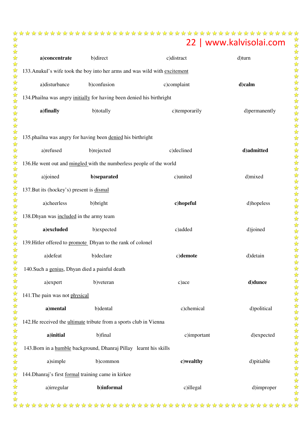| a)concentrate                                                          | b)direct                                                           | c)distract                                                                 | d)turn        |  |  |  |
|------------------------------------------------------------------------|--------------------------------------------------------------------|----------------------------------------------------------------------------|---------------|--|--|--|
|                                                                        |                                                                    | 133. Anukul's wife took the boy into her arms and was wild with excitement |               |  |  |  |
| a)disturbance                                                          | b)confusion                                                        | c)complaint                                                                | d)calm        |  |  |  |
| 134. Phailna was angry initially for having been denied his birthright |                                                                    |                                                                            |               |  |  |  |
| a)finally                                                              | b)totally                                                          | c)temporarily                                                              | d)permanently |  |  |  |
|                                                                        |                                                                    |                                                                            |               |  |  |  |
| 135.phailna was angry for having been denied his birthright            |                                                                    |                                                                            |               |  |  |  |
| a)refused                                                              | b)rejected                                                         | c)declined                                                                 | d)admitted    |  |  |  |
| 136. He went out and mingled with the numberless people of the world   |                                                                    |                                                                            |               |  |  |  |
| a)joined                                                               | b)separated                                                        | c)united                                                                   | d)mixed       |  |  |  |
| 137. But its (hockey's) present is dismal                              |                                                                    |                                                                            |               |  |  |  |
| a)cheerless                                                            | b) bright                                                          | c)hopeful                                                                  | d)hopeless    |  |  |  |
| 138. Dhyan was included in the army team                               |                                                                    |                                                                            |               |  |  |  |
| a)excluded                                                             | b)expected                                                         | c)added                                                                    | d)joined      |  |  |  |
| 139. Hitler offered to promote Dhyan to the rank of colonel            |                                                                    |                                                                            |               |  |  |  |
| a)defeat                                                               | b)declare                                                          | c)demote                                                                   | d) detain     |  |  |  |
| 140. Such a genius, Dhyan died a painful death                         |                                                                    |                                                                            |               |  |  |  |
| a) expert                                                              | b) veteran                                                         | c)ace                                                                      | d)dunce       |  |  |  |
| 141. The pain was not physical                                         |                                                                    |                                                                            |               |  |  |  |
| a)mental                                                               | b)dental                                                           | c)chemical                                                                 | d)political   |  |  |  |
| 142. He received the ultimate tribute from a sports club in Vienna     |                                                                    |                                                                            |               |  |  |  |
| a)initial                                                              | b)final                                                            | c)important                                                                | d)expected    |  |  |  |
|                                                                        | 143. Born in a humble background, Dhanraj Pillay learnt his skills |                                                                            |               |  |  |  |
| a)simple                                                               | b)common                                                           | c)wealthy                                                                  | d)pitiable    |  |  |  |
| 144. Dhanraj's first formal training came in kirkee                    |                                                                    |                                                                            |               |  |  |  |
| a)irregular                                                            | b)informal                                                         | c)illegal                                                                  | d)improper    |  |  |  |
|                                                                        |                                                                    |                                                                            |               |  |  |  |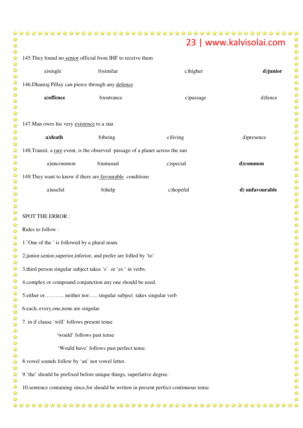# 145. They found no senior official from IHF to receive them a)single b)similar c)higher **d)junior** SPOT THE ERROR : Rules to follow : 6.each, every,one,none are singular.

| 146. Dhanraj Pillay can pierce through any defence                                       |                                          |           |                 |  |  |
|------------------------------------------------------------------------------------------|------------------------------------------|-----------|-----------------|--|--|
| a) offence                                                                               | b)entrance                               | c)passage | d)fence         |  |  |
|                                                                                          |                                          |           |                 |  |  |
| 147. Man owes his very existence to a star                                               |                                          |           |                 |  |  |
| a)death                                                                                  | b)being                                  | c)living  | d)presence      |  |  |
| 148. Transit, a rare event, is the observed passage of a planet across the sun           |                                          |           |                 |  |  |
| a)uncommon                                                                               | b)unusual                                | c)special | d)common        |  |  |
| 149. They want to know if there are favourable conditions                                |                                          |           |                 |  |  |
| a)useful                                                                                 | b)help                                   | c)hopeful | d) unfavourable |  |  |
|                                                                                          |                                          |           |                 |  |  |
| <b>SPOT THE ERROR:</b>                                                                   |                                          |           |                 |  |  |
| Rules to follow:                                                                         |                                          |           |                 |  |  |
| 1.'One of the ' is followed by a plural noun.                                            |                                          |           |                 |  |  |
| 2.junior, senior, superior, inferior, and prefer are folled by 'to'                      |                                          |           |                 |  |  |
| 3.third person singular subject takes 's' or 'es' in verbs.                              |                                          |           |                 |  |  |
| 4.complex or compound conjunction any one should be used.                                |                                          |           |                 |  |  |
| 5. either or neither nor singular subject takes singular verb                            |                                          |           |                 |  |  |
| 6.each, every, one, none are singular.                                                   |                                          |           |                 |  |  |
| 7. in if clause 'will' follows present tense                                             |                                          |           |                 |  |  |
|                                                                                          | 'would' follows past tense               |           |                 |  |  |
|                                                                                          | 'Would have' follows past perfect tense. |           |                 |  |  |
| 8. vowel sounds follow by 'an' not vowel letter.                                         |                                          |           |                 |  |  |
| 9.'the' should be prefixed before unique things, superlative degree.                     |                                          |           |                 |  |  |
| 10.sentence containing since, for should be written in present perfect continuous tense. |                                          |           |                 |  |  |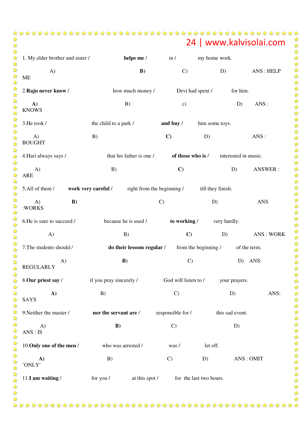|                                  |                                                                |                      |                           |                      | 24   www.kalvisolai.com |
|----------------------------------|----------------------------------------------------------------|----------------------|---------------------------|----------------------|-------------------------|
| 1. My elder brother and sister / | helps me /                                                     | $\ln l$              | my home work.             |                      |                         |
| $\bf{A}$<br>МE                   | B)                                                             | $\mathcal{C}$        | D)                        |                      | ANS: HELP               |
| 2. Raju never know /             | how much money /                                               | Devi had spent /     |                           | for him.             |                         |
| A)<br><b>KNOWS</b>               | B)                                                             | $\mathbf{c})$        |                           | D)                   | ANS :                   |
| 3.He took /                      | the child to a park /                                          | and buy $\ell$       | him some toys.            |                      |                         |
| A)<br><b>BOUGHT</b>              | B)                                                             | $\mathbf{C}$         | D)                        |                      | ANS:                    |
| 4. Hari always says /            | that his father is one /                                       | of those who is /    |                           | interested in music. |                         |
| A)<br>ARE                        | B)                                                             | $\mathbf{C}$         |                           | D)                   | ANSWER:                 |
|                                  | 5.All of them / work very careful / right from the beginning / |                      | till they finish.         |                      |                         |
| B)<br>A)<br>:WORKS               |                                                                | $\mathcal{C}$        | D)                        |                      | <b>ANS</b>              |
| 6.He is sure to succeed /        | because he is used /                                           |                      | to working / very hardly. |                      |                         |
| $\bf{A}$                         | B)                                                             | $\mathbf{C}$         | D)                        |                      | ANS: WORK               |
| 7. The students should /         | <b>do their lessons regular</b> / from the beginning /         |                      |                           | of the term.         |                         |
| A)<br>REGULARLY                  | B)                                                             | $\mathcal{C}$        |                           |                      | D) ANS:                 |
| 8.Our priest say /               | if you pray sincerely /                                        | God will listen to / |                           | your prayers.        |                         |
| A)<br><b>SAYS</b>                | B)                                                             | $\mathcal{C}$        |                           | D)                   | ANS:                    |
| 9. Neither the master /          | nor the servant are /                                          | responsible for /    |                           | this sad event.      |                         |
| A)<br>ANS : IS                   | B)                                                             | $\mathcal{C}$        |                           | D)                   |                         |
| 10. Only one of the men /        | who was arrested /                                             | was /                | let off.                  |                      |                         |
| A)<br>'ONLY'                     | B)                                                             | $\mathcal{C}$        | D)                        |                      | ANS: OMIT               |

11.**I am waiting** / for you / at this spot / for the last two hours.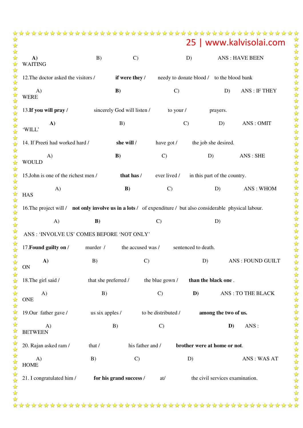|                                                                                                                |                      |                             |                     |                                           |                                 | 25   www.kalvisolai.com  |
|----------------------------------------------------------------------------------------------------------------|----------------------|-----------------------------|---------------------|-------------------------------------------|---------------------------------|--------------------------|
| A)<br><b>WAITING</b>                                                                                           | B)                   | $\mathcal{C}$               |                     | D)                                        |                                 | <b>ANS: HAVE BEEN</b>    |
| 12. The doctor asked the visitors /                                                                            |                      | if were they /              |                     | needy to donate blood / to the blood bank |                                 |                          |
| A)<br><b>WERE</b>                                                                                              |                      | B)                          | $\mathcal{C}$       |                                           | D)                              | <b>ANS: IF THEY</b>      |
| 13. If you will pray /                                                                                         |                      | sincerely God will listen / | to your /           |                                           | prayers.                        |                          |
| $\mathbf{A}$<br>'WILL'                                                                                         |                      | B)                          |                     | $\mathcal{C}$                             | D)                              | ANS: OMIT                |
| 14. If Preeti had worked hard /                                                                                |                      | she will /                  | have got /          |                                           | the job she desired.            |                          |
| $\mathbf{A}$<br><b>WOULD</b>                                                                                   |                      | B)                          | $\mathcal{C}$       | D)                                        |                                 | ANS: SHE                 |
| 15.John is one of the richest men /                                                                            |                      | that has /                  | ever lived /        |                                           | in this part of the country.    |                          |
| A)<br><b>HAS</b>                                                                                               |                      | B)                          | $\mathcal{C}$       |                                           | D)                              | ANS: WHOM                |
| 16. The project will / not only involve us in a lots / of expenditure / but also considerable physical labour. |                      |                             |                     |                                           |                                 |                          |
| A)                                                                                                             | B)                   |                             | $\mathcal{C}$       |                                           | D)                              |                          |
| ANS : 'INVOLVE US' COMES BEFORE 'NOT ONLY'                                                                     |                      |                             |                     |                                           |                                 |                          |
| 17. Found guilty on /                                                                                          | murder /             | the accused was /           |                     | sentenced to death.                       |                                 |                          |
| A)<br><b>ON</b>                                                                                                | B)                   | $\mathcal{C}$               |                     | D)                                        |                                 | <b>ANS: FOUND GUILT</b>  |
| 18. The girl said /                                                                                            | that she preferred / |                             | the blue gown /     | than the black one.                       |                                 |                          |
| A)<br><b>ONE</b>                                                                                               | B)                   |                             | $\mathcal{C}$       | D)                                        |                                 | <b>ANS: TO THE BLACK</b> |
| 19.0ur father gave /                                                                                           | us six apples /      |                             | to be distributed / |                                           | among the two of us.            |                          |
| A)<br><b>BETWEEN</b>                                                                                           |                      | B)                          | $\mathcal{C}$       |                                           | D)                              | ANS:                     |
| 20. Rajan asked ram /                                                                                          | that /               | his father and /            |                     | brother were at home or not.              |                                 |                          |
| A)<br><b>HOME</b>                                                                                              | B)                   | $\mathcal{C}$               |                     | D)                                        |                                 | ANS: WAS AT              |
| 21. I congratulated him /                                                                                      |                      | for his grand success /     | at/                 |                                           | the civil services examination. |                          |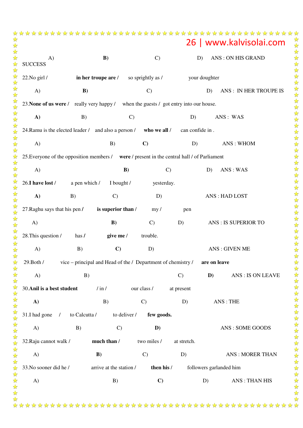|                                                                                             |               |                         |               |                   |                 |                      | 26   www.kalvisolai.com    |  |  |
|---------------------------------------------------------------------------------------------|---------------|-------------------------|---------------|-------------------|-----------------|----------------------|----------------------------|--|--|
| $\bf{A}$<br><b>SUCCESS</b>                                                                  |               | B)                      |               | $\mathcal{C}$     |                 | D)                   | <b>ANS: ON HIS GRAND</b>   |  |  |
| 22. No girl /                                                                               |               | in her troupe are /     |               | so sprightly as / |                 | your doughter        |                            |  |  |
| A)                                                                                          | B)            |                         |               | $\mathcal{C}$     |                 | D)                   | ANS: IN HER TROUPE IS      |  |  |
| 23. None of us were / really very happy / when the guests / got entry into our house.       |               |                         |               |                   |                 |                      |                            |  |  |
| A)                                                                                          | B)            |                         | $\mathcal{C}$ |                   | D)              |                      | ANS: WAS                   |  |  |
| 24. Ramu is the elected leader / and also a person /                                        |               |                         |               | who we all /      | can confide in. |                      |                            |  |  |
| A)                                                                                          |               | B)                      | $\mathbf{C}$  |                   | D)              |                      | ANS: WHOM                  |  |  |
| 25. Everyone of the opposition members / were / present in the central hall / of Parliament |               |                         |               |                   |                 |                      |                            |  |  |
| A)                                                                                          |               |                         | B)            | $\mathcal{C}$     |                 | D)                   | ANS: WAS                   |  |  |
| 26.I have lost /                                                                            | a pen which / | I bought /              |               | yesterday.        |                 |                      |                            |  |  |
| $\mathbf{A}$                                                                                | B)            | $\mathcal{C}$           |               | D)                |                 |                      | ANS: HAD LOST              |  |  |
| 27. Raghu says that his pen /                                                               |               | is superior than /      |               | my/               | pen             |                      |                            |  |  |
| A)                                                                                          |               | B)                      |               | $\mathbf{C}$      | D)              |                      | <b>ANS: IS SUPERIOR TO</b> |  |  |
| 28. This question /                                                                         | has $\prime$  | give me /               |               | trouble.          |                 |                      |                            |  |  |
| A)                                                                                          | B)            | $\mathbf{C}$            |               | D)                |                 | <b>ANS: GIVEN ME</b> |                            |  |  |
| vice – principal and Head of the $/$ Department of chemistry $/$ are on leave<br>29. Both / |               |                         |               |                   |                 |                      |                            |  |  |
| A)                                                                                          | B)            |                         |               |                   | $\mathcal{C}$   | D)                   | <b>ANS: IS ON LEAVE</b>    |  |  |
| 30. Anil is a best student                                                                  |               | $/\mathrm{in}/$         | our class /   |                   | at present      |                      |                            |  |  |
| A)                                                                                          |               | B)                      | $\mathcal{C}$ |                   | D)              |                      | ANS: THE                   |  |  |
| 31.I had gone<br>$\sqrt{2}$                                                                 | to Calcutta / |                         | to deliver /  | few goods.        |                 |                      |                            |  |  |
| A)                                                                                          | B)            | $\mathcal{C}$           |               | D)                |                 |                      | ANS: SOME GOODS            |  |  |
| 32. Raju cannot walk /                                                                      |               | much than /             |               | two miles /       | at stretch.     |                      |                            |  |  |
| A)                                                                                          |               | B)                      | $\mathcal{C}$ |                   | D)              |                      | <b>ANS: MORER THAN</b>     |  |  |
| 33. No sooner did he /                                                                      |               | arrive at the station / |               | then his /        |                 |                      | followers garlanded him    |  |  |
| A)                                                                                          |               | B)                      |               | $\mathbf{C}$      |                 | D)                   | <b>ANS: THAN HIS</b>       |  |  |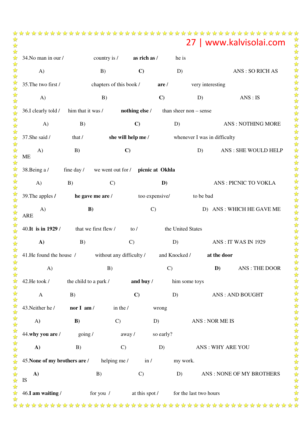|                               |                       |                                   |                |                        |                              | 27   www.kalvisolai.com     |
|-------------------------------|-----------------------|-----------------------------------|----------------|------------------------|------------------------------|-----------------------------|
| 34. No man in our /           |                       | country is /                      | as rich as /   | he is                  |                              |                             |
| A)                            | B)                    |                                   | $\mathbf{C}$   | D)                     |                              | <b>ANS: SO RICH AS</b>      |
| 35. The two first /           |                       | chapters of this book /           | are/           |                        | very interesting             |                             |
| A)                            |                       | B)                                | $\mathbf{C}$   |                        | D)                           | ANS : IS                    |
| 36.I clearly told /           | him that it was /     | nothing else /                    |                | than sheer non - sense |                              |                             |
| A)                            | B)                    | $\mathbf{C}$                      |                | D)                     |                              | <b>ANS: NOTHING MORE</b>    |
| 37.She said /                 | that /                | she will help me /                |                |                        | whenever I was in difficulty |                             |
| A)<br><b>ME</b>               | B)                    | $\mathbf{C}$                      |                |                        | D)                           | ANS: SHE WOULD HELP         |
| 38.Being a/                   | fine day /            | we went out for / picnic at Okhla |                |                        |                              |                             |
| A)                            | B)                    | $\mathcal{C}$                     | D)             |                        |                              | <b>ANS: PICNIC TO VOKLA</b> |
| 39. The apples /              | he gave me are /      |                                   | too expensive/ |                        | to be bad                    |                             |
| A)<br><b>ARE</b>              | B)                    |                                   | $\mathcal{C}$  |                        |                              | D) ANS : WHICH HE GAVE ME   |
| 40. It is in 1929 /           | that we first flew /  | to $\sqrt{ }$                     |                | the United States      |                              |                             |
| A)                            | B)                    | $\mathcal{C}$                     |                | D)                     |                              | <b>ANS: IT WAS IN 1929</b>  |
| 41. He found the house /      |                       | without any difficulty /          |                | and Knocked /          | at the door                  |                             |
| A)                            |                       | B)                                |                | $\mathcal{C}$          | D)                           | <b>ANS: THE DOOR</b>        |
| 42.He took /                  | the child to a park / |                                   | and buy /      | him some toys          |                              |                             |
| $\mathbf{A}$                  | B)                    | $\mathbf{C}$                      |                | D)                     |                              | <b>ANS: AND BOUGHT</b>      |
| 43. Neither he /              | nor I am/             | in the $/$                        | wrong          |                        |                              |                             |
| A)                            | B)                    | $\mathcal{C}$                     | D)             |                        | ANS: NOR ME IS               |                             |
| 44.why you are /              | going /               | away/                             | so early?      |                        |                              |                             |
| A)                            | B)                    | $\mathcal{C}$                     | D)             |                        |                              | ANS: WHY ARE YOU            |
| 45. None of my brothers are / |                       | helping me /                      | in /           | my work.               |                              |                             |
| A)<br>IS                      | B)                    |                                   | $\mathcal{C}$  | D)                     |                              | ANS: NONE OF MY BROTHERS    |
| 46.I am waiting /             | for you $/$           |                                   | at this spot / |                        | for the last two hours       |                             |